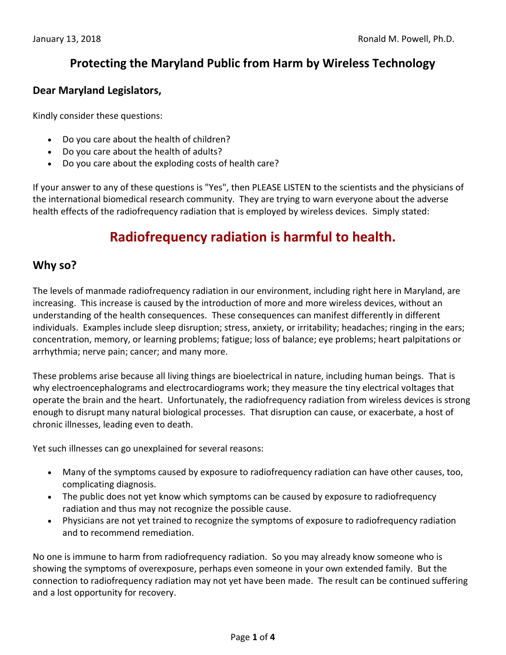# **Protecting the Maryland Public from Harm by Wireless Technology**

### **Dear Maryland Legislators,**

Kindly consider these questions:

- Do you care about the health of children?
- Do you care about the health of adults?
- Do you care about the exploding costs of health care?

If your answer to any of these questions is "Yes", then PLEASE LISTEN to the scientists and the physicians of the international biomedical research community. They are trying to warn everyone about the adverse health effects of the radiofrequency radiation that is employed by wireless devices. Simply stated:

# **Radiofrequency radiation is harmful to health.**

### **Why so?**

The levels of manmade radiofrequency radiation in our environment, including right here in Maryland, are increasing. This increase is caused by the introduction of more and more wireless devices, without an understanding of the health consequences. These consequences can manifest differently in different individuals. Examples include sleep disruption; stress, anxiety, or irritability; headaches; ringing in the ears; concentration, memory, or learning problems; fatigue; loss of balance; eye problems; heart palpitations or arrhythmia; nerve pain; cancer; and many more.

These problems arise because all living things are bioelectrical in nature, including human beings. That is why electroencephalograms and electrocardiograms work; they measure the tiny electrical voltages that operate the brain and the heart. Unfortunately, the radiofrequency radiation from wireless devices is strong enough to disrupt many natural biological processes. That disruption can cause, or exacerbate, a host of chronic illnesses, leading even to death.

Yet such illnesses can go unexplained for several reasons:

- Many of the symptoms caused by exposure to radiofrequency radiation can have other causes, too, complicating diagnosis.
- The public does not yet know which symptoms can be caused by exposure to radiofrequency radiation and thus may not recognize the possible cause.
- Physicians are not yet trained to recognize the symptoms of exposure to radiofrequency radiation and to recommend remediation.

No one is immune to harm from radiofrequency radiation. So you may already know someone who is showing the symptoms of overexposure, perhaps even someone in your own extended family. But the connection to radiofrequency radiation may not yet have been made. The result can be continued suffering and a lost opportunity for recovery.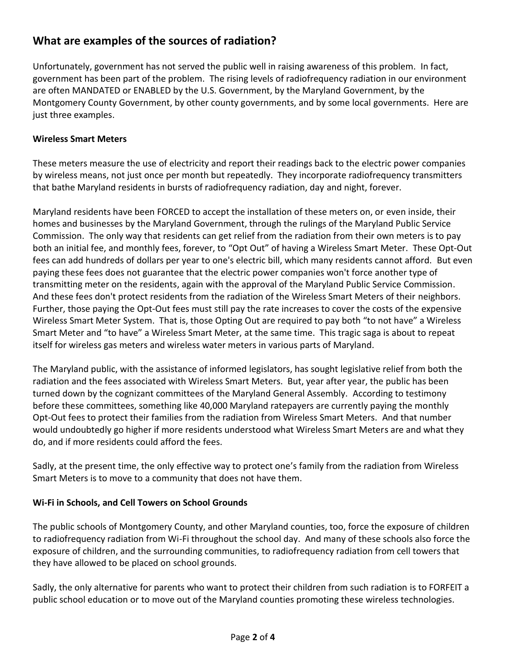# **What are examples of the sources of radiation?**

Unfortunately, government has not served the public well in raising awareness of this problem. In fact, government has been part of the problem. The rising levels of radiofrequency radiation in our environment are often MANDATED or ENABLED by the U.S. Government, by the Maryland Government, by the Montgomery County Government, by other county governments, and by some local governments. Here are just three examples.

#### **Wireless Smart Meters**

These meters measure the use of electricity and report their readings back to the electric power companies by wireless means, not just once per month but repeatedly. They incorporate radiofrequency transmitters that bathe Maryland residents in bursts of radiofrequency radiation, day and night, forever.

Maryland residents have been FORCED to accept the installation of these meters on, or even inside, their homes and businesses by the Maryland Government, through the rulings of the Maryland Public Service Commission. The only way that residents can get relief from the radiation from their own meters is to pay both an initial fee, and monthly fees, forever, to "Opt Out" of having a Wireless Smart Meter. These Opt-Out fees can add hundreds of dollars per year to one's electric bill, which many residents cannot afford. But even paying these fees does not guarantee that the electric power companies won't force another type of transmitting meter on the residents, again with the approval of the Maryland Public Service Commission. And these fees don't protect residents from the radiation of the Wireless Smart Meters of their neighbors. Further, those paying the Opt-Out fees must still pay the rate increases to cover the costs of the expensive Wireless Smart Meter System. That is, those Opting Out are required to pay both "to not have" a Wireless Smart Meter and "to have" a Wireless Smart Meter, at the same time. This tragic saga is about to repeat itself for wireless gas meters and wireless water meters in various parts of Maryland.

The Maryland public, with the assistance of informed legislators, has sought legislative relief from both the radiation and the fees associated with Wireless Smart Meters. But, year after year, the public has been turned down by the cognizant committees of the Maryland General Assembly. According to testimony before these committees, something like 40,000 Maryland ratepayers are currently paying the monthly Opt-Out fees to protect their families from the radiation from Wireless Smart Meters. And that number would undoubtedly go higher if more residents understood what Wireless Smart Meters are and what they do, and if more residents could afford the fees.

Sadly, at the present time, the only effective way to protect one's family from the radiation from Wireless Smart Meters is to move to a community that does not have them.

#### **Wi-Fi in Schools, and Cell Towers on School Grounds**

The public schools of Montgomery County, and other Maryland counties, too, force the exposure of children to radiofrequency radiation from Wi-Fi throughout the school day. And many of these schools also force the exposure of children, and the surrounding communities, to radiofrequency radiation from cell towers that they have allowed to be placed on school grounds.

Sadly, the only alternative for parents who want to protect their children from such radiation is to FORFEIT a public school education or to move out of the Maryland counties promoting these wireless technologies.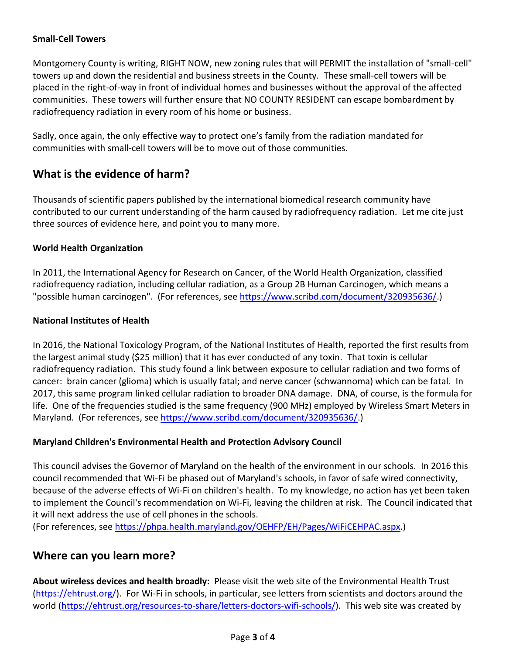### **Small-Cell Towers**

Montgomery County is writing, RIGHT NOW, new zoning rules that will PERMIT the installation of "small-cell" towers up and down the residential and business streets in the County. These small-cell towers will be placed in the right-of-way in front of individual homes and businesses without the approval of the affected communities. These towers will further ensure that NO COUNTY RESIDENT can escape bombardment by radiofrequency radiation in every room of his home or business.

Sadly, once again, the only effective way to protect one's family from the radiation mandated for communities with small-cell towers will be to move out of those communities.

## **What is the evidence of harm?**

Thousands of scientific papers published by the international biomedical research community have contributed to our current understanding of the harm caused by radiofrequency radiation. Let me cite just three sources of evidence here, and point you to many more.

### **World Health Organization**

In 2011, the International Agency for Research on Cancer, of the World Health Organization, classified radiofrequency radiation, including cellular radiation, as a Group 2B Human Carcinogen, which means a "possible human carcinogen". (For references, see [https://www.scribd.com/document/320935636/.](https://www.scribd.com/document/320935636/))

### **National Institutes of Health**

In 2016, the National Toxicology Program, of the National Institutes of Health, reported the first results from the largest animal study (\$25 million) that it has ever conducted of any toxin. That toxin is cellular radiofrequency radiation. This study found a link between exposure to cellular radiation and two forms of cancer: brain cancer (glioma) which is usually fatal; and nerve cancer (schwannoma) which can be fatal. In 2017, this same program linked cellular radiation to broader DNA damage. DNA, of course, is the formula for life. One of the frequencies studied is the same frequency (900 MHz) employed by Wireless Smart Meters in Maryland. (For references, see [https://www.scribd.com/document/320935636/.](https://www.scribd.com/document/320935636/))

### **Maryland Children's Environmental Health and Protection Advisory Council**

This council advises the Governor of Maryland on the health of the environment in our schools. In 2016 this council recommended that Wi-Fi be phased out of Maryland's schools, in favor of safe wired connectivity, because of the adverse effects of Wi-Fi on children's health. To my knowledge, no action has yet been taken to implement the Council's recommendation on Wi-Fi, leaving the children at risk. The Council indicated that it will next address the use of cell phones in the schools.

(For references, see [https://phpa.health.maryland.gov/OEHFP/EH/Pages/WiFiCEHPAC.aspx.](https://phpa.health.maryland.gov/OEHFP/EH/Pages/WiFiCEHPAC.aspx))

### **Where can you learn more?**

**About wireless devices and health broadly:** Please visit the web site of the Environmental Health Trust [\(https://ehtrust.org/\)](https://ehtrust.org/). For Wi-Fi in schools, in particular, see letters from scientists and doctors around the world [\(https://ehtrust.org/resources-to-share/letters-doctors-wifi-schools/\)](https://ehtrust.org/resources-to-share/letters-doctors-wifi-schools/). This web site was created by